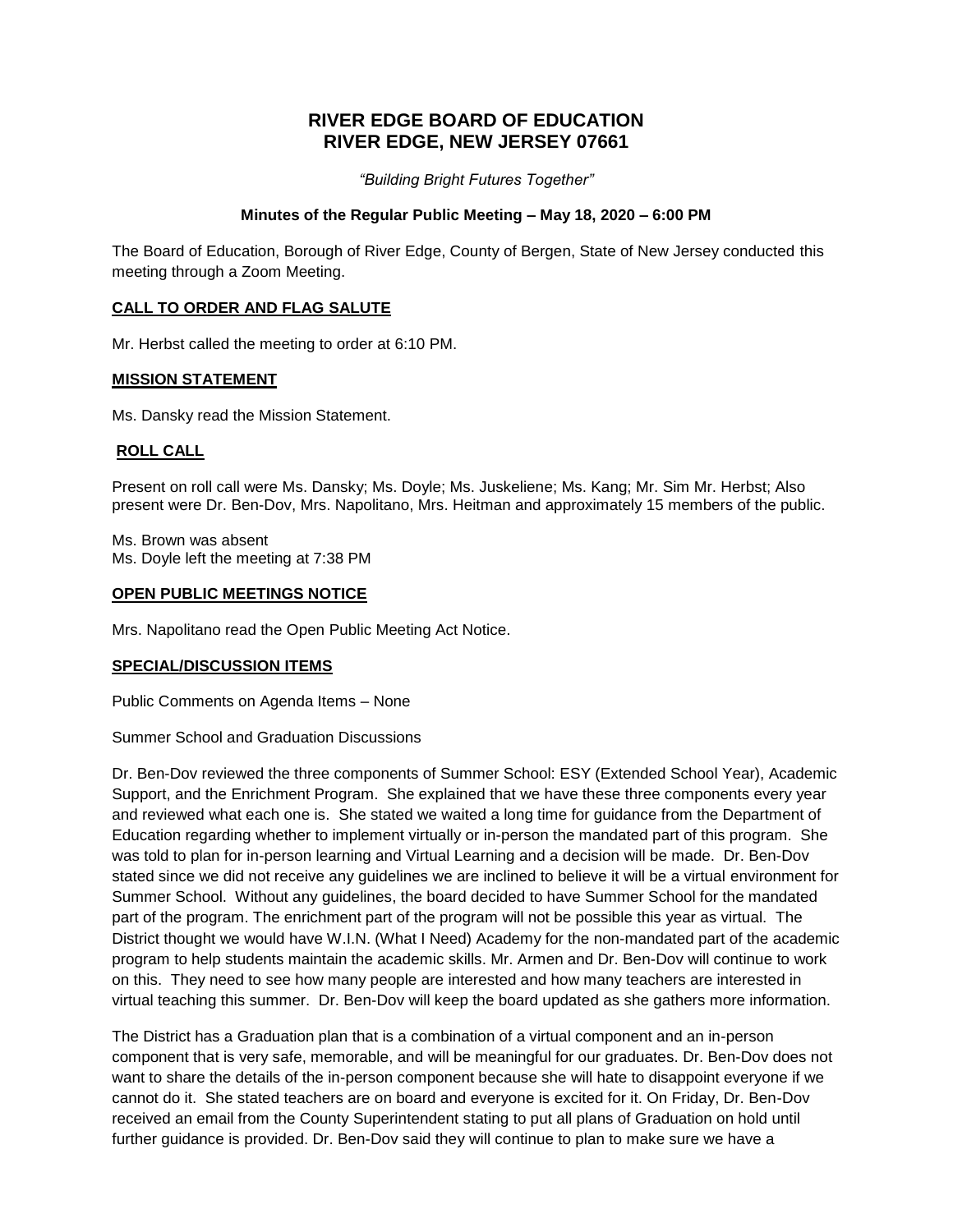# **RIVER EDGE BOARD OF EDUCATION RIVER EDGE, NEW JERSEY 07661**

*"Building Bright Futures Together"*

#### **Minutes of the Regular Public Meeting – May 18, 2020 – 6:00 PM**

The Board of Education, Borough of River Edge, County of Bergen, State of New Jersey conducted this meeting through a Zoom Meeting.

#### **CALL TO ORDER AND FLAG SALUTE**

Mr. Herbst called the meeting to order at 6:10 PM.

#### **MISSION STATEMENT**

Ms. Dansky read the Mission Statement.

#### **ROLL CALL**

Present on roll call were Ms. Dansky; Ms. Doyle; Ms. Juskeliene; Ms. Kang; Mr. Sim Mr. Herbst; Also present were Dr. Ben-Dov, Mrs. Napolitano, Mrs. Heitman and approximately 15 members of the public.

Ms. Brown was absent Ms. Doyle left the meeting at 7:38 PM

#### **OPEN PUBLIC MEETINGS NOTICE**

Mrs. Napolitano read the Open Public Meeting Act Notice.

#### **SPECIAL/DISCUSSION ITEMS**

Public Comments on Agenda Items – None

Summer School and Graduation Discussions

Dr. Ben-Dov reviewed the three components of Summer School: ESY (Extended School Year), Academic Support, and the Enrichment Program. She explained that we have these three components every year and reviewed what each one is. She stated we waited a long time for guidance from the Department of Education regarding whether to implement virtually or in-person the mandated part of this program. She was told to plan for in-person learning and Virtual Learning and a decision will be made. Dr. Ben-Dov stated since we did not receive any guidelines we are inclined to believe it will be a virtual environment for Summer School. Without any guidelines, the board decided to have Summer School for the mandated part of the program. The enrichment part of the program will not be possible this year as virtual. The District thought we would have W.I.N. (What I Need) Academy for the non-mandated part of the academic program to help students maintain the academic skills. Mr. Armen and Dr. Ben-Dov will continue to work on this. They need to see how many people are interested and how many teachers are interested in virtual teaching this summer. Dr. Ben-Dov will keep the board updated as she gathers more information.

The District has a Graduation plan that is a combination of a virtual component and an in-person component that is very safe, memorable, and will be meaningful for our graduates. Dr. Ben-Dov does not want to share the details of the in-person component because she will hate to disappoint everyone if we cannot do it. She stated teachers are on board and everyone is excited for it. On Friday, Dr. Ben-Dov received an email from the County Superintendent stating to put all plans of Graduation on hold until further guidance is provided. Dr. Ben-Dov said they will continue to plan to make sure we have a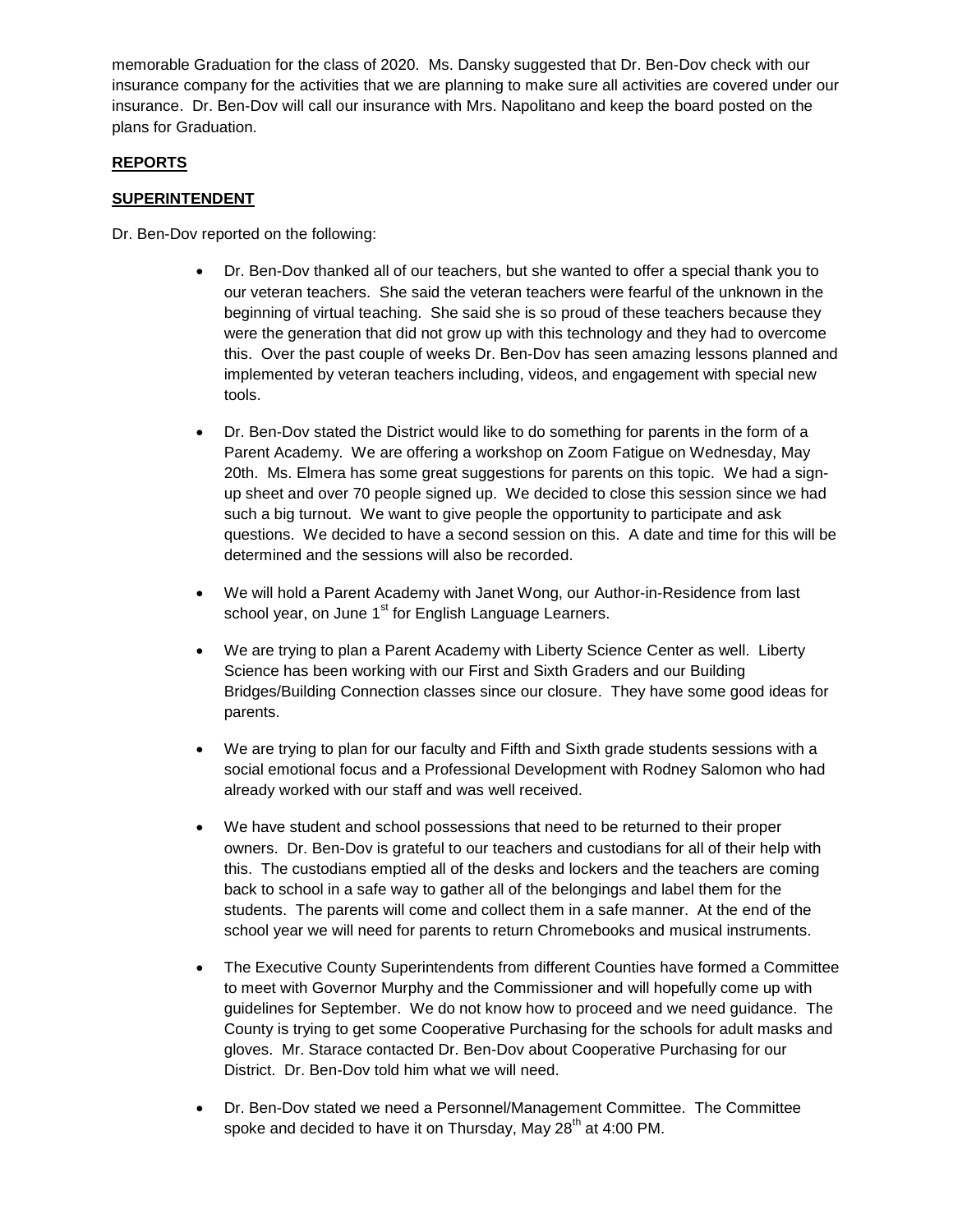memorable Graduation for the class of 2020. Ms. Dansky suggested that Dr. Ben-Dov check with our insurance company for the activities that we are planning to make sure all activities are covered under our insurance. Dr. Ben-Dov will call our insurance with Mrs. Napolitano and keep the board posted on the plans for Graduation.

## **REPORTS**

## **SUPERINTENDENT**

Dr. Ben-Dov reported on the following:

- Dr. Ben-Dov thanked all of our teachers, but she wanted to offer a special thank you to our veteran teachers. She said the veteran teachers were fearful of the unknown in the beginning of virtual teaching. She said she is so proud of these teachers because they were the generation that did not grow up with this technology and they had to overcome this. Over the past couple of weeks Dr. Ben-Dov has seen amazing lessons planned and implemented by veteran teachers including, videos, and engagement with special new tools.
- Dr. Ben-Dov stated the District would like to do something for parents in the form of a Parent Academy. We are offering a workshop on Zoom Fatigue on Wednesday, May 20th. Ms. Elmera has some great suggestions for parents on this topic. We had a signup sheet and over 70 people signed up. We decided to close this session since we had such a big turnout. We want to give people the opportunity to participate and ask questions. We decided to have a second session on this. A date and time for this will be determined and the sessions will also be recorded.
- We will hold a Parent Academy with Janet Wong, our Author-in-Residence from last school year, on June 1<sup>st</sup> for English Language Learners.
- We are trying to plan a Parent Academy with Liberty Science Center as well. Liberty Science has been working with our First and Sixth Graders and our Building Bridges/Building Connection classes since our closure. They have some good ideas for parents.
- We are trying to plan for our faculty and Fifth and Sixth grade students sessions with a social emotional focus and a Professional Development with Rodney Salomon who had already worked with our staff and was well received.
- We have student and school possessions that need to be returned to their proper owners. Dr. Ben-Dov is grateful to our teachers and custodians for all of their help with this. The custodians emptied all of the desks and lockers and the teachers are coming back to school in a safe way to gather all of the belongings and label them for the students. The parents will come and collect them in a safe manner. At the end of the school year we will need for parents to return Chromebooks and musical instruments.
- The Executive County Superintendents from different Counties have formed a Committee to meet with Governor Murphy and the Commissioner and will hopefully come up with guidelines for September. We do not know how to proceed and we need guidance. The County is trying to get some Cooperative Purchasing for the schools for adult masks and gloves. Mr. Starace contacted Dr. Ben-Dov about Cooperative Purchasing for our District. Dr. Ben-Dov told him what we will need.
- Dr. Ben-Dov stated we need a Personnel/Management Committee. The Committee spoke and decided to have it on Thursday, May 28<sup>th</sup> at 4:00 PM.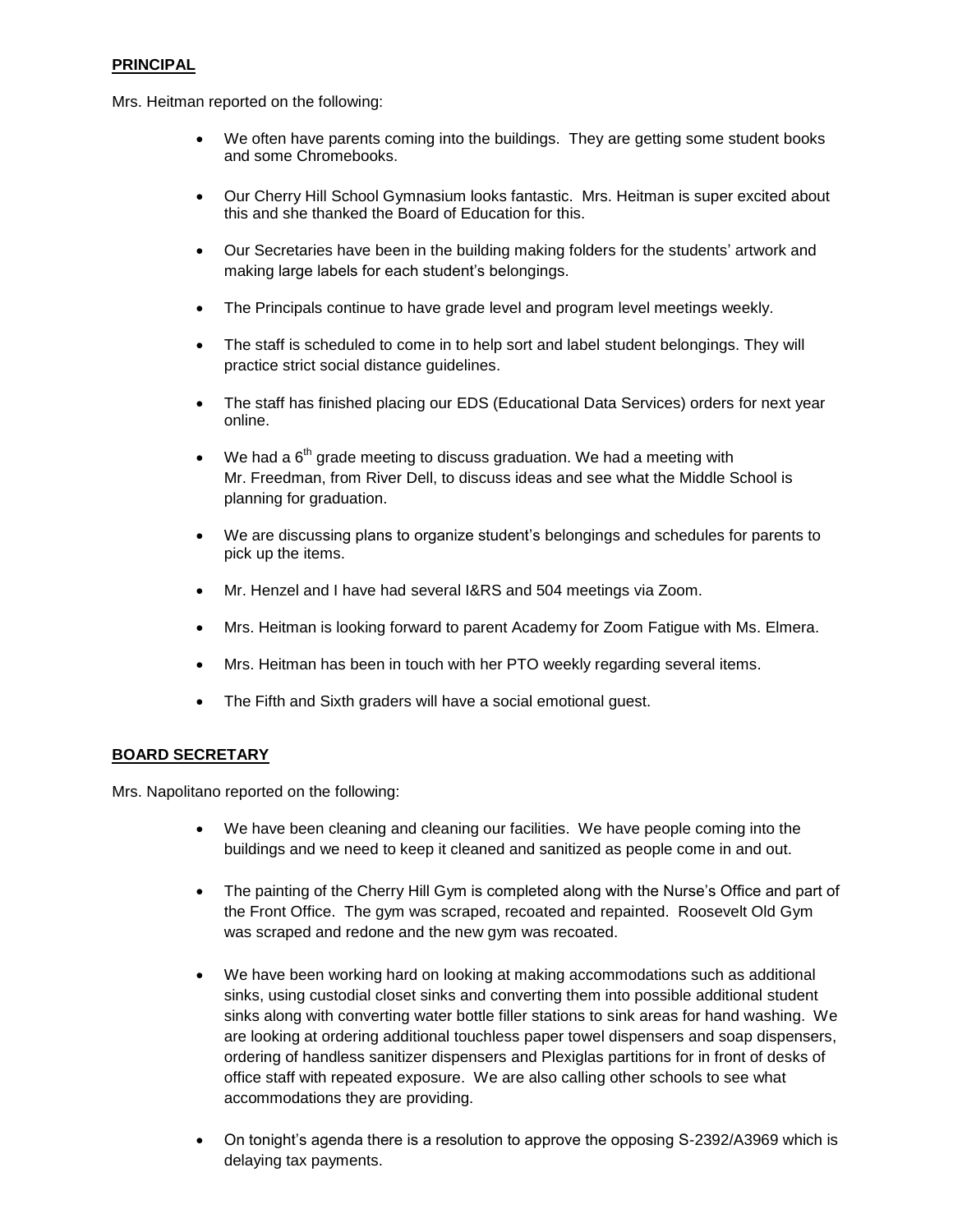# **PRINCIPAL**

Mrs. Heitman reported on the following:

- We often have parents coming into the buildings. They are getting some student books and some Chromebooks.
- Our Cherry Hill School Gymnasium looks fantastic. Mrs. Heitman is super excited about this and she thanked the Board of Education for this.
- Our Secretaries have been in the building making folders for the students' artwork and making large labels for each student's belongings.
- The Principals continue to have grade level and program level meetings weekly.
- The staff is scheduled to come in to help sort and label student belongings. They will practice strict social distance guidelines.
- The staff has finished placing our EDS (Educational Data Services) orders for next year online.
- $\bullet$  We had a  $6<sup>th</sup>$  grade meeting to discuss graduation. We had a meeting with Mr. Freedman, from River Dell, to discuss ideas and see what the Middle School is planning for graduation.
- We are discussing plans to organize student's belongings and schedules for parents to pick up the items.
- Mr. Henzel and I have had several I&RS and 504 meetings via Zoom.
- Mrs. Heitman is looking forward to parent Academy for Zoom Fatigue with Ms. Elmera.
- Mrs. Heitman has been in touch with her PTO weekly regarding several items.
- The Fifth and Sixth graders will have a social emotional guest.

#### **BOARD SECRETARY**

Mrs. Napolitano reported on the following:

- We have been cleaning and cleaning our facilities. We have people coming into the buildings and we need to keep it cleaned and sanitized as people come in and out.
- The painting of the Cherry Hill Gym is completed along with the Nurse's Office and part of the Front Office. The gym was scraped, recoated and repainted. Roosevelt Old Gym was scraped and redone and the new gym was recoated.
- We have been working hard on looking at making accommodations such as additional sinks, using custodial closet sinks and converting them into possible additional student sinks along with converting water bottle filler stations to sink areas for hand washing. We are looking at ordering additional touchless paper towel dispensers and soap dispensers, ordering of handless sanitizer dispensers and Plexiglas partitions for in front of desks of office staff with repeated exposure. We are also calling other schools to see what accommodations they are providing.
- On tonight's agenda there is a resolution to approve the opposing S-2392/A3969 which is delaying tax payments.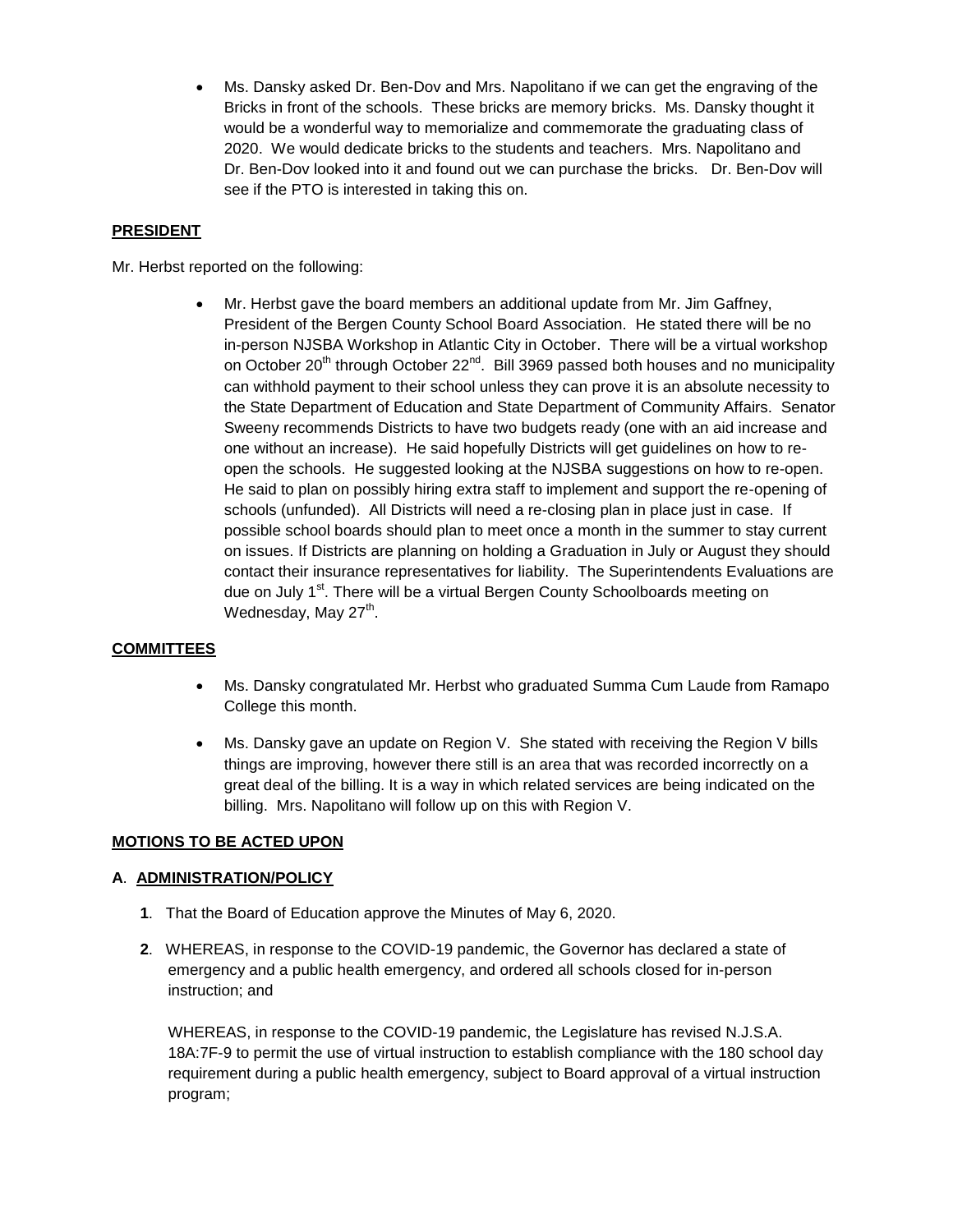Ms. Dansky asked Dr. Ben-Dov and Mrs. Napolitano if we can get the engraving of the Bricks in front of the schools. These bricks are memory bricks. Ms. Dansky thought it would be a wonderful way to memorialize and commemorate the graduating class of 2020. We would dedicate bricks to the students and teachers. Mrs. Napolitano and Dr. Ben-Dov looked into it and found out we can purchase the bricks. Dr. Ben-Dov will see if the PTO is interested in taking this on.

# **PRESIDENT**

Mr. Herbst reported on the following:

 Mr. Herbst gave the board members an additional update from Mr. Jim Gaffney, President of the Bergen County School Board Association. He stated there will be no in-person NJSBA Workshop in Atlantic City in October. There will be a virtual workshop on October 20<sup>th</sup> through October 22<sup>nd</sup>. Bill 3969 passed both houses and no municipality can withhold payment to their school unless they can prove it is an absolute necessity to the State Department of Education and State Department of Community Affairs. Senator Sweeny recommends Districts to have two budgets ready (one with an aid increase and one without an increase). He said hopefully Districts will get guidelines on how to reopen the schools. He suggested looking at the NJSBA suggestions on how to re-open. He said to plan on possibly hiring extra staff to implement and support the re-opening of schools (unfunded). All Districts will need a re-closing plan in place just in case. If possible school boards should plan to meet once a month in the summer to stay current on issues. If Districts are planning on holding a Graduation in July or August they should contact their insurance representatives for liability. The Superintendents Evaluations are due on July 1<sup>st</sup>. There will be a virtual Bergen County Schoolboards meeting on Wednesday, May 27<sup>th</sup>.

## **COMMITTEES**

- Ms. Dansky congratulated Mr. Herbst who graduated Summa Cum Laude from Ramapo College this month.
- Ms. Dansky gave an update on Region V. She stated with receiving the Region V bills things are improving, however there still is an area that was recorded incorrectly on a great deal of the billing. It is a way in which related services are being indicated on the billing. Mrs. Napolitano will follow up on this with Region V.

## **MOTIONS TO BE ACTED UPON**

## **A**. **ADMINISTRATION/POLICY**

- **1**. That the Board of Education approve the Minutes of May 6, 2020.
- **2**. WHEREAS, in response to the COVID-19 pandemic, the Governor has declared a state of emergency and a public health emergency, and ordered all schools closed for in-person instruction; and

WHEREAS, in response to the COVID-19 pandemic, the Legislature has revised N.J.S.A. 18A:7F-9 to permit the use of virtual instruction to establish compliance with the 180 school day requirement during a public health emergency, subject to Board approval of a virtual instruction program;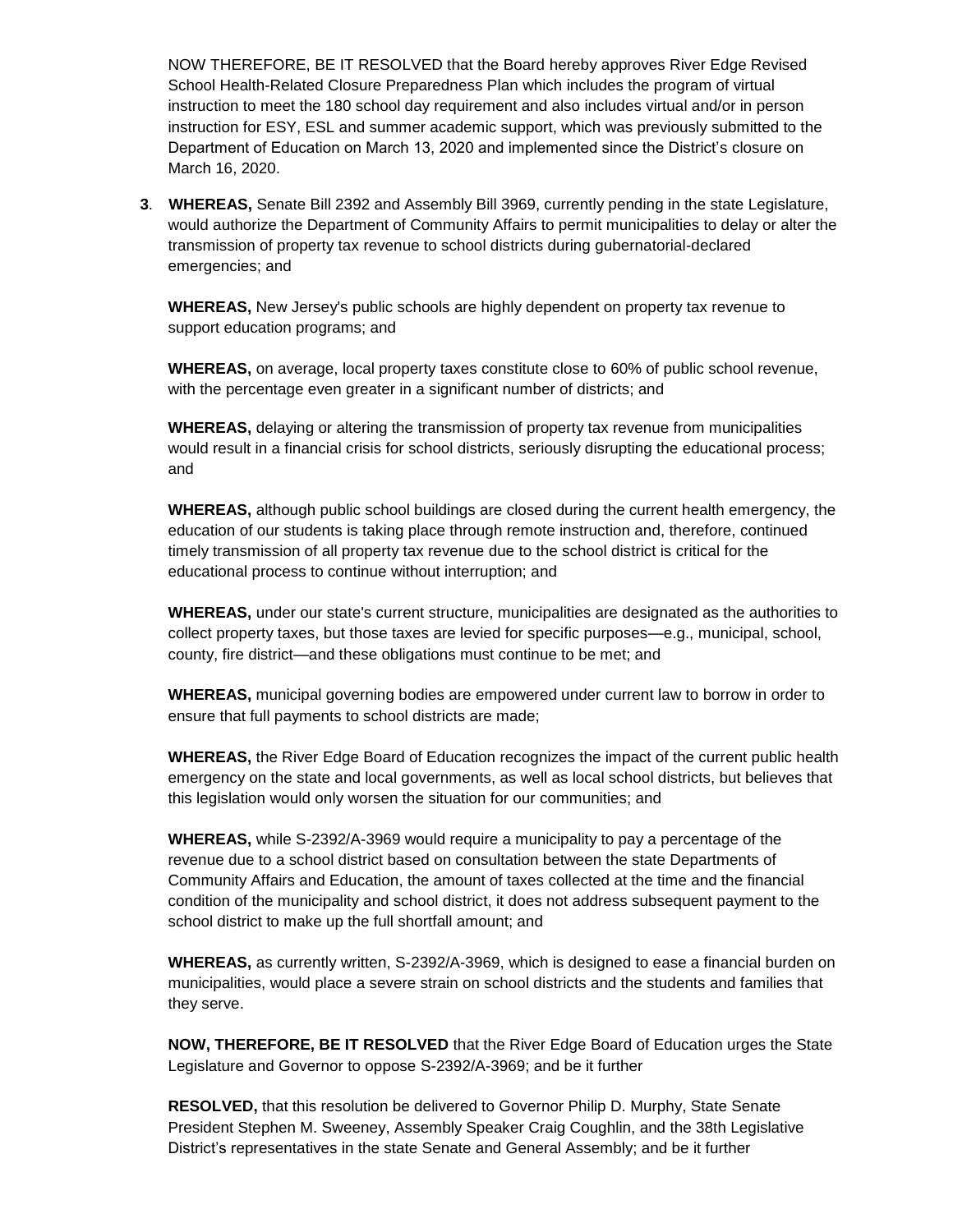NOW THEREFORE, BE IT RESOLVED that the Board hereby approves River Edge Revised School Health-Related Closure Preparedness Plan which includes the program of virtual instruction to meet the 180 school day requirement and also includes virtual and/or in person instruction for ESY, ESL and summer academic support, which was previously submitted to the Department of Education on March 13, 2020 and implemented since the District's closure on March 16, 2020.

**3**. **WHEREAS,** Senate Bill 2392 and Assembly Bill 3969, currently pending in the state Legislature, would authorize the Department of Community Affairs to permit municipalities to delay or alter the transmission of property tax revenue to school districts during gubernatorial-declared emergencies; and

**WHEREAS,** New Jersey's public schools are highly dependent on property tax revenue to support education programs; and

**WHEREAS,** on average, local property taxes constitute close to 60% of public school revenue, with the percentage even greater in a significant number of districts; and

**WHEREAS,** delaying or altering the transmission of property tax revenue from municipalities would result in a financial crisis for school districts, seriously disrupting the educational process; and

**WHEREAS,** although public school buildings are closed during the current health emergency, the education of our students is taking place through remote instruction and, therefore, continued timely transmission of all property tax revenue due to the school district is critical for the educational process to continue without interruption; and

**WHEREAS,** under our state's current structure, municipalities are designated as the authorities to collect property taxes, but those taxes are levied for specific purposes—e.g., municipal, school, county, fire district—and these obligations must continue to be met; and

**WHEREAS,** municipal governing bodies are empowered under current law to borrow in order to ensure that full payments to school districts are made;

**WHEREAS,** the River Edge Board of Education recognizes the impact of the current public health emergency on the state and local governments, as well as local school districts, but believes that this legislation would only worsen the situation for our communities; and

**WHEREAS,** while S-2392/A-3969 would require a municipality to pay a percentage of the revenue due to a school district based on consultation between the state Departments of Community Affairs and Education, the amount of taxes collected at the time and the financial condition of the municipality and school district, it does not address subsequent payment to the school district to make up the full shortfall amount; and

**WHEREAS,** as currently written, S-2392/A-3969, which is designed to ease a financial burden on municipalities, would place a severe strain on school districts and the students and families that they serve.

**NOW, THEREFORE, BE IT RESOLVED** that the River Edge Board of Education urges the State Legislature and Governor to oppose S-2392/A-3969; and be it further

**RESOLVED,** that this resolution be delivered to Governor Philip D. Murphy, State Senate President Stephen M. Sweeney, Assembly Speaker Craig Coughlin, and the 38th Legislative District's representatives in the state Senate and General Assembly; and be it further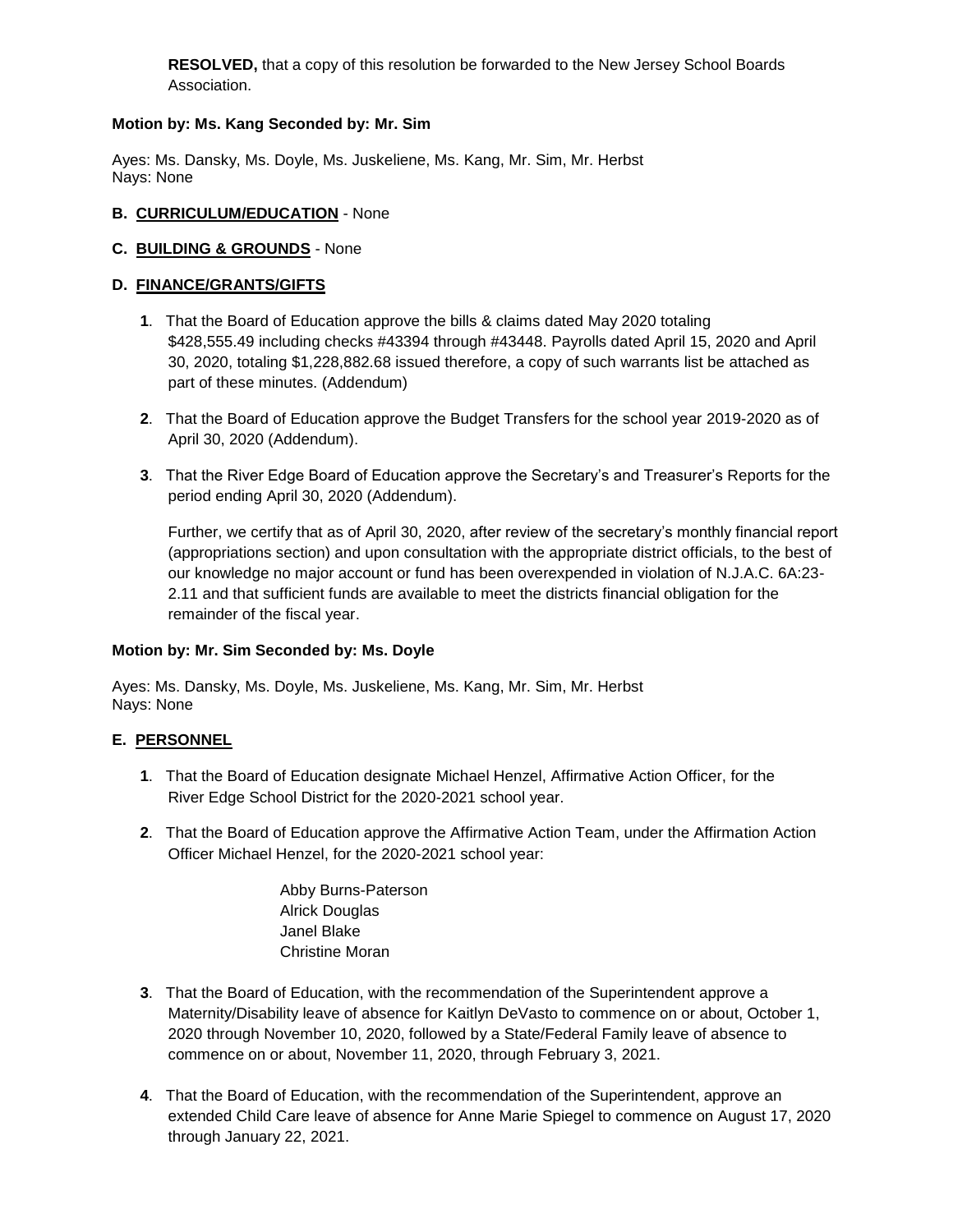**RESOLVED,** that a copy of this resolution be forwarded to the New Jersey School Boards Association.

## **Motion by: Ms. Kang Seconded by: Mr. Sim**

Ayes: Ms. Dansky, Ms. Doyle, Ms. Juskeliene, Ms. Kang, Mr. Sim, Mr. Herbst Nays: None

#### **B. CURRICULUM/EDUCATION** - None

#### **C. BUILDING & GROUNDS** - None

#### **D. FINANCE/GRANTS/GIFTS**

- **1**. That the Board of Education approve the bills & claims dated May 2020 totaling \$428,555.49 including checks #43394 through #43448. Payrolls dated April 15, 2020 and April 30, 2020, totaling \$1,228,882.68 issued therefore, a copy of such warrants list be attached as part of these minutes. (Addendum)
- **2**. That the Board of Education approve the Budget Transfers for the school year 2019-2020 as of April 30, 2020 (Addendum).
- **3**. That the River Edge Board of Education approve the Secretary's and Treasurer's Reports for the period ending April 30, 2020 (Addendum).

Further, we certify that as of April 30, 2020, after review of the secretary's monthly financial report (appropriations section) and upon consultation with the appropriate district officials, to the best of our knowledge no major account or fund has been overexpended in violation of N.J.A.C. 6A:23- 2.11 and that sufficient funds are available to meet the districts financial obligation for the remainder of the fiscal year.

#### **Motion by: Mr. Sim Seconded by: Ms. Doyle**

Ayes: Ms. Dansky, Ms. Doyle, Ms. Juskeliene, Ms. Kang, Mr. Sim, Mr. Herbst Nays: None

## **E. PERSONNEL**

- **1**. That the Board of Education designate Michael Henzel, Affirmative Action Officer, for the River Edge School District for the 2020-2021 school year.
- **2**. That the Board of Education approve the Affirmative Action Team, under the Affirmation Action Officer Michael Henzel, for the 2020-2021 school year:
	- Abby Burns-Paterson Alrick Douglas Janel Blake Christine Moran
- **3**. That the Board of Education, with the recommendation of the Superintendent approve a Maternity/Disability leave of absence for Kaitlyn DeVasto to commence on or about, October 1, 2020 through November 10, 2020, followed by a State/Federal Family leave of absence to commence on or about, November 11, 2020, through February 3, 2021.
- **4**. That the Board of Education, with the recommendation of the Superintendent, approve an extended Child Care leave of absence for Anne Marie Spiegel to commence on August 17, 2020 through January 22, 2021.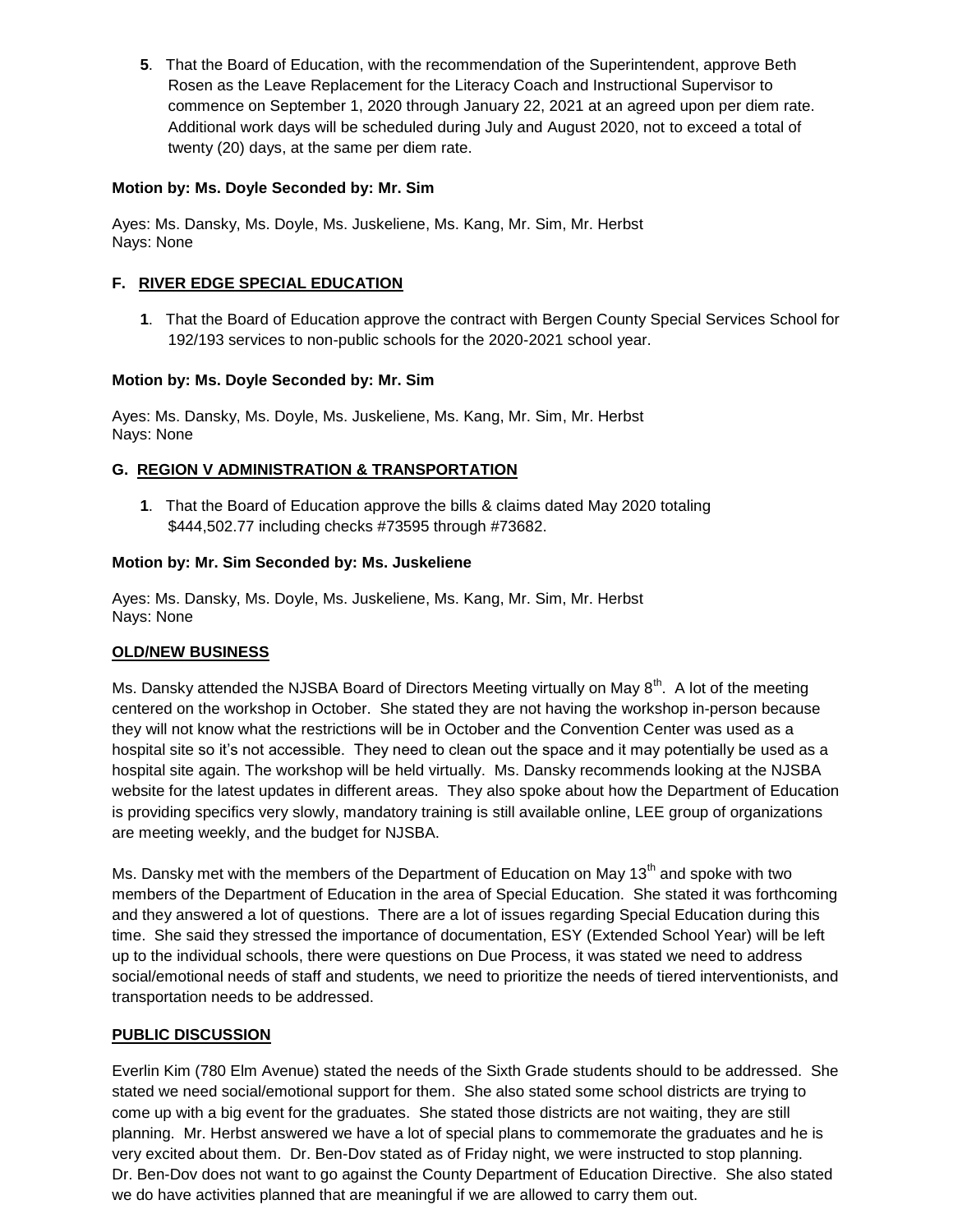**5**. That the Board of Education, with the recommendation of the Superintendent, approve Beth Rosen as the Leave Replacement for the Literacy Coach and Instructional Supervisor to commence on September 1, 2020 through January 22, 2021 at an agreed upon per diem rate. Additional work days will be scheduled during July and August 2020, not to exceed a total of twenty (20) days, at the same per diem rate.

## **Motion by: Ms. Doyle Seconded by: Mr. Sim**

Ayes: Ms. Dansky, Ms. Doyle, Ms. Juskeliene, Ms. Kang, Mr. Sim, Mr. Herbst Nays: None

# **F. RIVER EDGE SPECIAL EDUCATION**

**1**. That the Board of Education approve the contract with Bergen County Special Services School for 192/193 services to non-public schools for the 2020-2021 school year.

# **Motion by: Ms. Doyle Seconded by: Mr. Sim**

Ayes: Ms. Dansky, Ms. Doyle, Ms. Juskeliene, Ms. Kang, Mr. Sim, Mr. Herbst Nays: None

# **G. REGION V ADMINISTRATION & TRANSPORTATION**

**1**. That the Board of Education approve the bills & claims dated May 2020 totaling \$444,502.77 including checks #73595 through #73682.

## **Motion by: Mr. Sim Seconded by: Ms. Juskeliene**

Ayes: Ms. Dansky, Ms. Doyle, Ms. Juskeliene, Ms. Kang, Mr. Sim, Mr. Herbst Nays: None

## **OLD/NEW BUSINESS**

Ms. Dansky attended the NJSBA Board of Directors Meeting virtually on May 8<sup>th</sup>. A lot of the meeting centered on the workshop in October. She stated they are not having the workshop in-person because they will not know what the restrictions will be in October and the Convention Center was used as a hospital site so it's not accessible. They need to clean out the space and it may potentially be used as a hospital site again. The workshop will be held virtually. Ms. Dansky recommends looking at the NJSBA website for the latest updates in different areas. They also spoke about how the Department of Education is providing specifics very slowly, mandatory training is still available online, LEE group of organizations are meeting weekly, and the budget for NJSBA.

Ms. Dansky met with the members of the Department of Education on May  $13<sup>th</sup>$  and spoke with two members of the Department of Education in the area of Special Education. She stated it was forthcoming and they answered a lot of questions. There are a lot of issues regarding Special Education during this time. She said they stressed the importance of documentation, ESY (Extended School Year) will be left up to the individual schools, there were questions on Due Process, it was stated we need to address social/emotional needs of staff and students, we need to prioritize the needs of tiered interventionists, and transportation needs to be addressed.

## **PUBLIC DISCUSSION**

Everlin Kim (780 Elm Avenue) stated the needs of the Sixth Grade students should to be addressed. She stated we need social/emotional support for them. She also stated some school districts are trying to come up with a big event for the graduates. She stated those districts are not waiting, they are still planning. Mr. Herbst answered we have a lot of special plans to commemorate the graduates and he is very excited about them. Dr. Ben-Dov stated as of Friday night, we were instructed to stop planning. Dr. Ben-Dov does not want to go against the County Department of Education Directive. She also stated we do have activities planned that are meaningful if we are allowed to carry them out.